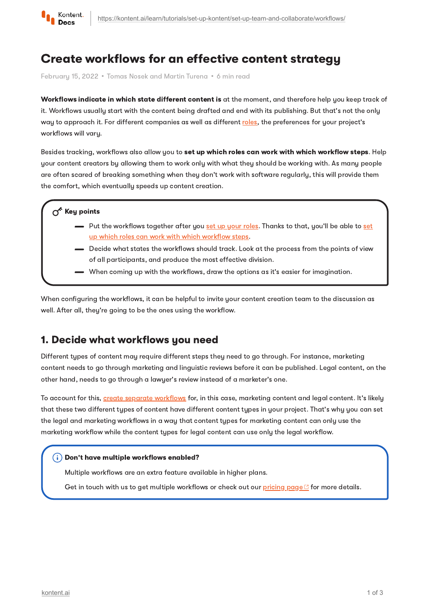

# Create workflows for an effective content strategy

February 15, 2022 · Tomas Nosek and Martin Turena · 6 min read

Workflows indicate in which state different content is at the moment, and therefore help you keep track of it. Workflows usually start with the content being drafted and end with its publishing. But that's not the only way to approach it. For different companies as well as different [roles](https://kontent.ai/learn/tutorials/set-up-kontent/set-up-team-and-collaborate/roles/), the preferences for your project's workflows will vary.

Besides tracking, workflows also allow you to set up which roles can work with which workflow steps. Help your content creators by allowing them to work only with what they should be working with. As many people are often scared of breaking something when they don't work with software regularly, this will provide them the comfort, which eventually speeds up content creation.

#### $\sigma^*$  Key points

- Put the [workflows](https://kontent.ai/learn/tutorials/manage-kontent/roles-and-workflow/manage-workflows/#a-limit-workflow-steps-to-roles) together after you  $\frac{\text{set up}}{\text{10}}$  your [roles.](https://kontent.ai/learn/tutorials/set-up-kontent/set-up-team-and-collaborate/roles/) Thanks to that, you'll be able to  $\frac{\text{set}}{\text{10}}$ up which roles can work with which workflow steps.
- Decide what states the workflows should track. Look at the process from the points of view of all participants, and produce the most effective division.
- When coming up with the workflows, draw the options as it's easier for imagination.

When configuring the workflows, it can be helpful to invite your content creation team to the discussion as well. After all, they're going to be the ones using the workflow.

### 1. Decide what workflows you need

Different types of content may require different steps they need to go through. For instance, marketing content needs to go through marketing and linguistic reviews before it can be published. Legal content, on the other hand, needs to go through a lawyer's review instead of a marketer's one.

To account for this, create separate [workflows](https://kontent.ai/learn/tutorials/manage-kontent/roles-and-workflow/manage-workflows/#a-create-a-new-workflow) for, in this case, marketing content and legal content. It's likely that these two different types of content have different content types in your project. That's why you can set the legal and marketing workflows in a way that content types for marketing content can only use the marketing workflow while the content types for legal content can use only the legal workflow.

#### Don't have multiple workflows enabled?

Multiple workflows are an extra feature available in higher plans.

Get in touch with us to get multiple workflows or check out our [pricing](https://kontent.ai/pricing) page  $\mathbb{C}$  for more details.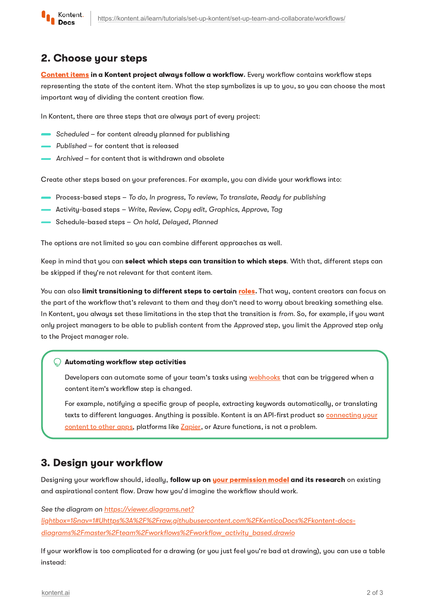

### 2. Choose your steps

[Content](https://kontent.ai/learn/tutorials/write-and-collaborate/create-content/introducing-content-items/) *items* in a Kontent project always follow a workflow. Every workflow contains workflow steps representing the state of the content item. What the step symbolizes is up to you, so you can choose the most important way of dividing the content creation flow.

In Kontent, there are three steps that are always part of every project:

- Scheduled for content already planned for publishing
- Published for content that is released
- Archived for content that is withdrawn and obsolete

Create other steps based on your preferences. For example, you can divide your workflows into:

- Process-based steps To do, In progress, To review, To translate, Ready for publishing
- Activity-based steps Write, Review, Copy edit, Graphics, Approve, Tag
- Schedule-based steps On hold, Delayed, Planned

The options are not limited so you can combine different approaches as well.

Keep in mind that you can select which steps can transition to which steps. With that, different steps can be skipped if they're not relevant for that content item.

You can also limit transitioning to different steps to certain [roles](https://kontent.ai/learn/tutorials/set-up-kontent/set-up-team-and-collaborate/roles/). That way, content creators can focus on the part of the workflow that's relevant to them and they don't need to worry about breaking something else. In Kontent, you always set these limitations in the step that the transition is from. So, for example, if you want only project managers to be able to publish content from the Approved step, you limit the Approved step only to the Project manager role.

#### Automating workflow step activities

Developers can automate some of your team's tasks using [webhooks](https://kontent.ai/learn/tutorials/develop-apps/integrate/webhooks/) that can be triggered when a content item's workflow step is changed.

For example, notifying a specific group of people, extracting keywords automatically, or translating texts to different languages. Anything is possible. Kontent is an API-first product so [connecting](https://kontent.ai/learn/tutorials/develop-apps/integrate/integrations-overview/) your content to other apps, platforms like [Zapier](https://kontent.ai/learn/tutorials/develop-apps/integrate/zapier-automation/), or Azure functions, is not a problem.

### 3. Design your workflow

Designing your workflow should, ideally, follow up on your [permission](https://kontent.ai/learn/tutorials/set-up-kontent/set-up-team-and-collaborate/roles/) model and its research on existing and aspirational content flow. Draw how you'd imagine the workflow should work.

See the diagram on https://viewer.diagrams.net? [lightbox=1&nav=1#Uhttps%3A%2F%2Fraw.githubusercontent.com%2FKenticoDocs%2Fkontent-docs](https://viewer.diagrams.net/?lightbox=1&nav=1#Uhttps%3A%2F%2Fraw.githubusercontent.com%2FKenticoDocs%2Fkontent-docs-diagrams%2Fmaster%2Fteam%2Fworkflows%2Fworkflow_activity_based.drawio)diagrams%2Fmaster%2Fteam%2Fworkflows%2Fworkflow\_activity\_based.drawio

If your workflow is too complicated for a drawing (or you just feel you're bad at drawing), you can use a table instead: